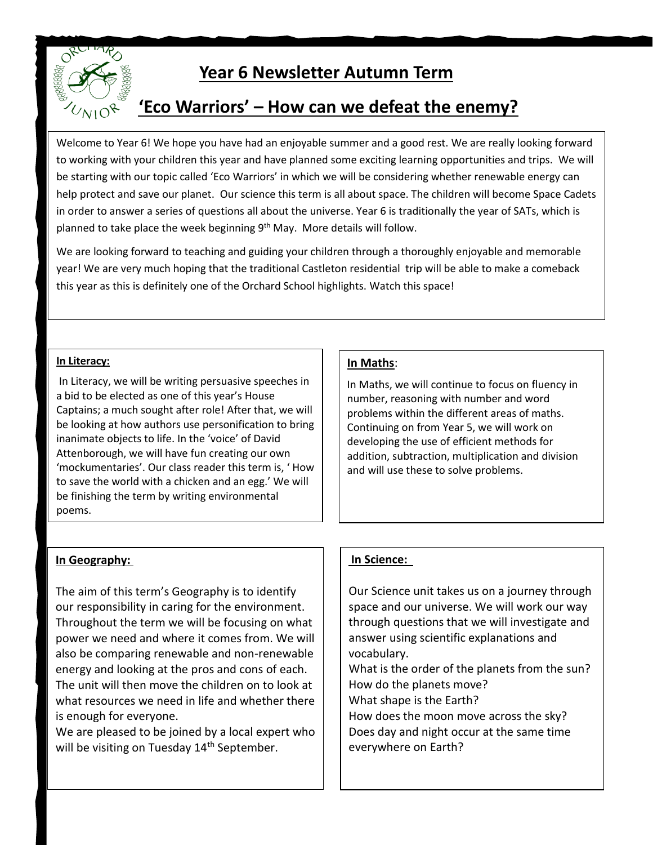

# **Year 6 Newsletter Autumn Term**

## **'Eco Warriors' – How can we defeat the enemy?**

Welcome to Year 6! We hope you have had an enjoyable summer and a good rest. We are really looking forward to working with your children this year and have planned some exciting learning opportunities and trips. We will be starting with our topic called 'Eco Warriors' in which we will be considering whether renewable energy can help protect and save our planet. Our science this term is all about space. The children will become Space Cadets in order to answer a series of questions all about the universe. Year 6 is traditionally the year of SATs, which is planned to take place the week beginning 9<sup>th</sup> May. More details will follow.

We are looking forward to teaching and guiding your children through a thoroughly enjoyable and memorable year! We are very much hoping that the traditional Castleton residential trip will be able to make a comeback this year as this is definitely one of the Orchard School highlights. Watch this space!

#### **In Literacy:**

In Literacy, we will be writing persuasive speeches in a bid to be elected as one of this year's House Captains; a much sought after role! After that, we will be looking at how authors use personification to bring inanimate objects to life. In the 'voice' of David Attenborough, we will have fun creating our own 'mockumentaries'. Our class reader this term is, ' How to save the world with a chicken and an egg.' We will be finishing the term by writing environmental poems.

### **In Maths**:

In Maths, we will continue to focus on fluency in number, reasoning with number and word problems within the different areas of maths. Continuing on from Year 5, we will work on developing the use of efficient methods for addition, subtraction, multiplication and division and will use these to solve problems.

## **In Geography:**

The aim of this term's Geography is to identify our responsibility in caring for the environment. Throughout the term we will be focusing on what power we need and where it comes from. We will also be comparing renewable and non-renewable energy and looking at the pros and cons of each. The unit will then move the children on to look at what resources we need in life and whether there is enough for everyone.

We are pleased to be joined by a local expert who will be visiting on Tuesday 14<sup>th</sup> September.

## **In Science:**

Our Science unit takes us on a journey through space and our universe. We will work our way through questions that we will investigate and answer using scientific explanations and vocabulary.

What is the order of the planets from the sun? How do the planets move? What shape is the Earth?

How does the moon move across the sky? Does day and night occur at the same time everywhere on Earth?